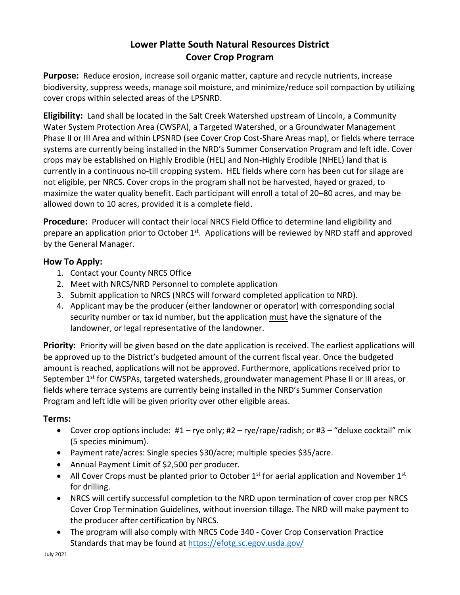# **Lower Platte South Natural Resources District Cover Crop Program**

**Purpose:** Reduce erosion, increase soil organic matter, capture and recycle nutrients, increase biodiversity, suppress weeds, manage soil moisture, and minimize/reduce soil compaction by utilizing cover crops within selected areas of the LPSNRD.

**Eligibility:** Land shall be located in the Salt Creek Watershed upstream of Lincoln, a Community Water System Protection Area (CWSPA), a Targeted Watershed, or a Groundwater Management Phase II or III Area and within LPSNRD (see Cover Crop Cost-Share Areas map), or fields where terrace systems are currently being installed in the NRD's Summer Conservation Program and left idle. Cover crops may be established on Highly Erodible (HEL) and Non-Highly Erodible (NHEL) land that is currently in a continuous no-till cropping system. HEL fields where corn has been cut for silage are not eligible, per NRCS. Cover crops in the program shall not be harvested, hayed or grazed, to maximize the water quality benefit. Each participant will enroll a total of 20–80 acres, and may be allowed down to 10 acres, provided it is a complete field.

**Procedure:** Producer will contact their local NRCS Field Office to determine land eligibility and prepare an application prior to October 1<sup>st</sup>. Applications will be reviewed by NRD staff and approved by the General Manager.

## **How To Apply:**

- 1. Contact your County NRCS Office
- 2. Meet with NRCS/NRD Personnel to complete application
- 3. Submit application to NRCS (NRCS will forward completed application to NRD).
- 4. Applicant may be the producer (either landowner or operator) with corresponding social security number or tax id number, but the application must have the signature of the landowner, or legal representative of the landowner.

**Priority:** Priority will be given based on the date application is received. The earliest applications will be approved up to the District's budgeted amount of the current fiscal year. Once the budgeted amount is reached, applications will not be approved. Furthermore, applications received prior to September 1<sup>st</sup> for CWSPAs, targeted watersheds, groundwater management Phase II or III areas, or fields where terrace systems are currently being installed in the NRD's Summer Conservation Program and left idle will be given priority over other eligible areas.

## **Terms:**

- Cover crop options include:  $#1 rye$  only;  $#2 rye/rape/radish$ ; or  $#3 "deluse cocktail" mix$ (5 species minimum).
- Payment rate/acres: Single species \$30/acre; multiple species \$35/acre.
- Annual Payment Limit of \$2,500 per producer.
- All Cover Crops must be planted prior to October  $1<sup>st</sup>$  for aerial application and November  $1<sup>st</sup>$ for drilling.
- NRCS will certify successful completion to the NRD upon termination of cover crop per NRCS Cover Crop Termination Guidelines, without inversion tillage. The NRD will make payment to the producer after certification by NRCS.
- The program will also comply with NRCS Code 340 Cover Crop Conservation Practice Standards that may be found at<https://efotg.sc.egov.usda.gov/>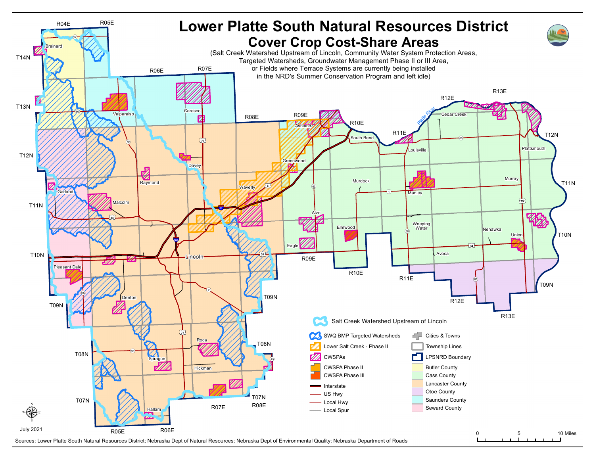

Sources: Lower Platte South Natural Resources District; Nebraska Dept of Natural Resources; Nebraska Dept of Environmental Quality; Nebraska Department of Roads